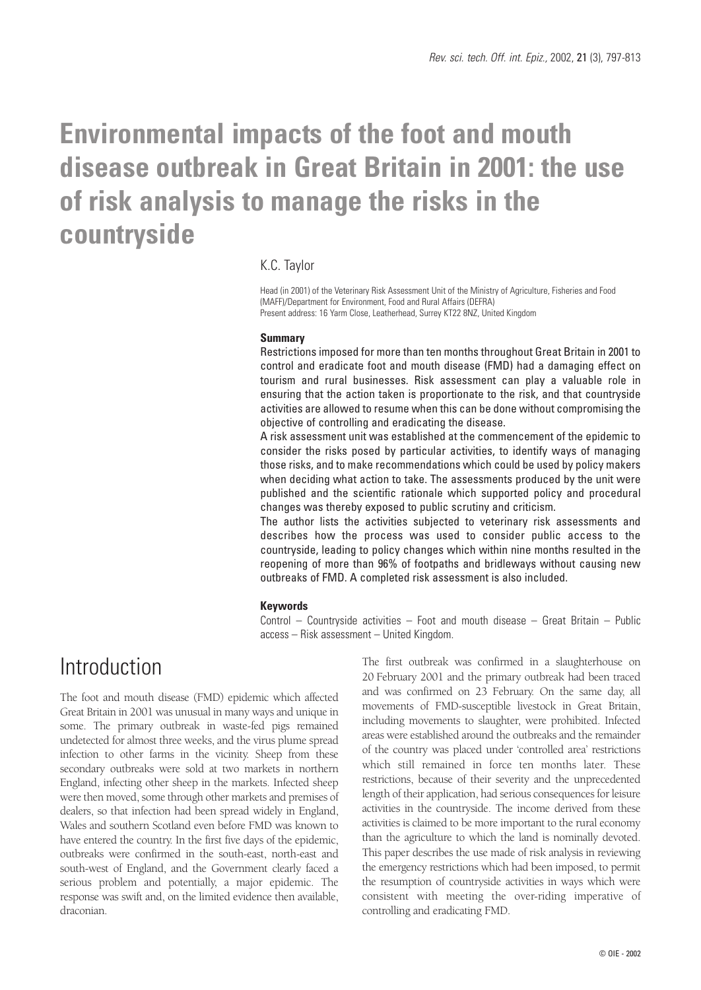# **Environmental impacts of the foot and mouth disease outbreak in Great Britain in 2001: the use of risk analysis to manage the risks in the countryside**

## K.C. Taylor

Head (in 2001) of the Veterinary Risk Assessment Unit of the Ministry of Agriculture, Fisheries and Food (MAFF)/Department for Environment, Food and Rural Affairs (DEFRA) Present address: 16 Yarm Close, Leatherhead, Surrey KT22 8NZ, United Kingdom

#### **Summary**

Restrictions imposed for more than ten months throughout Great Britain in 2001 to control and eradicate foot and mouth disease (FMD) had a damaging effect on tourism and rural businesses. Risk assessment can play a valuable role in ensuring that the action taken is proportionate to the risk, and that countryside activities are allowed to resume when this can be done without compromising the objective of controlling and eradicating the disease.

A risk assessment unit was established at the commencement of the epidemic to consider the risks posed by particular activities, to identify ways of managing those risks, and to make recommendations which could be used by policy makers when deciding what action to take. The assessments produced by the unit were published and the scientific rationale which supported policy and procedural changes was thereby exposed to public scrutiny and criticism.

The author lists the activities subjected to veterinary risk assessments and describes how the process was used to consider public access to the countryside, leading to policy changes which within nine months resulted in the reopening of more than 96% of footpaths and bridleways without causing new outbreaks of FMD. A completed risk assessment is also included.

#### **Keywords**

Control – Countryside activities – Foot and mouth disease – Great Britain – Public access – Risk assessment – United Kingdom.

## Introduction

The foot and mouth disease (FMD) epidemic which affected Great Britain in 2001 was unusual in many ways and unique in some. The primary outbreak in waste-fed pigs remained undetected for almost three weeks, and the virus plume spread infection to other farms in the vicinity. Sheep from these secondary outbreaks were sold at two markets in northern England, infecting other sheep in the markets. Infected sheep were then moved, some through other markets and premises of dealers, so that infection had been spread widely in England, Wales and southern Scotland even before FMD was known to have entered the country. In the first five days of the epidemic, outbreaks were confirmed in the south-east, north-east and south-west of England, and the Government clearly faced a serious problem and potentially, a major epidemic. The response was swift and, on the limited evidence then available, draconian.

The first outbreak was confirmed in a slaughterhouse on 20 February 2001 and the primary outbreak had been traced and was confirmed on 23 February. On the same day, all movements of FMD-susceptible livestock in Great Britain, including movements to slaughter, were prohibited. Infected areas were established around the outbreaks and the remainder of the country was placed under 'controlled area' restrictions which still remained in force ten months later. These restrictions, because of their severity and the unprecedented length of their application, had serious consequences for leisure activities in the countryside. The income derived from these activities is claimed to be more important to the rural economy than the agriculture to which the land is nominally devoted. This paper describes the use made of risk analysis in reviewing the emergency restrictions which had been imposed, to permit the resumption of countryside activities in ways which were consistent with meeting the over-riding imperative of controlling and eradicating FMD.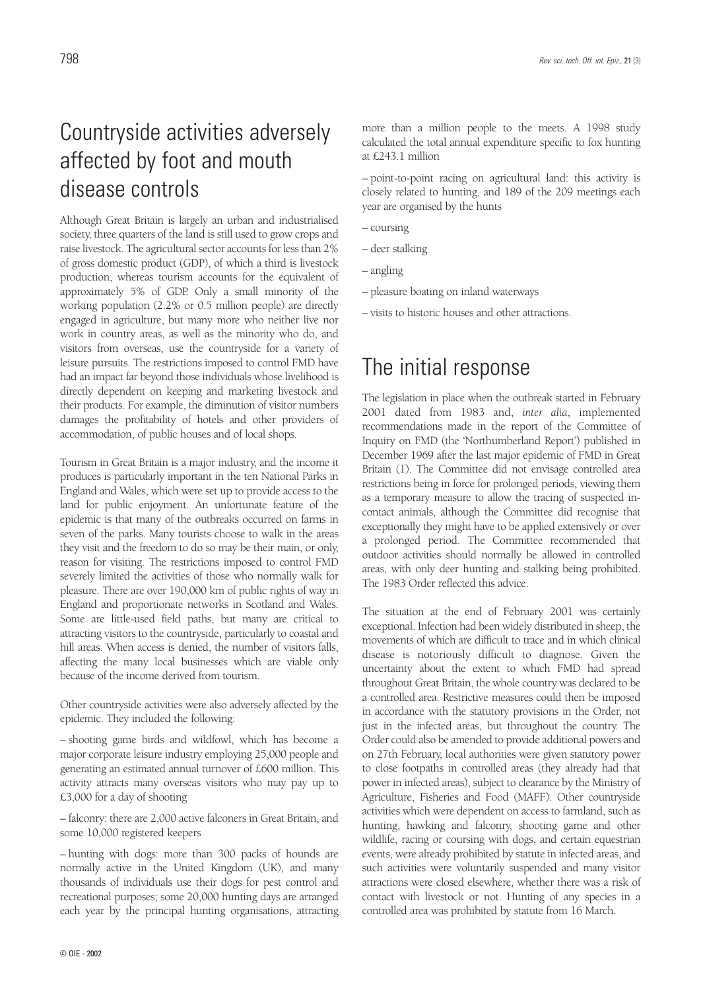# Countryside activities adversely affected by foot and mouth disease controls

Although Great Britain is largely an urban and industrialised society, three quarters of the land is still used to grow crops and raise livestock. The agricultural sector accounts for less than 2% of gross domestic product (GDP), of which a third is livestock production, whereas tourism accounts for the equivalent of approximately 5% of GDP. Only a small minority of the working population (2.2% or 0.5 million people) are directly engaged in agriculture, but many more who neither live nor work in country areas, as well as the minority who do, and visitors from overseas, use the countryside for a variety of leisure pursuits. The restrictions imposed to control FMD have had an impact far beyond those individuals whose livelihood is directly dependent on keeping and marketing livestock and their products. For example, the diminution of visitor numbers damages the profitability of hotels and other providers of accommodation, of public houses and of local shops.

Tourism in Great Britain is a major industry, and the income it produces is particularly important in the ten National Parks in England and Wales, which were set up to provide access to the land for public enjoyment. An unfortunate feature of the epidemic is that many of the outbreaks occurred on farms in seven of the parks. Many tourists choose to walk in the areas they visit and the freedom to do so may be their main, or only, reason for visiting. The restrictions imposed to control FMD severely limited the activities of those who normally walk for pleasure. There are over 190,000 km of public rights of way in England and proportionate networks in Scotland and Wales. Some are little-used field paths, but many are critical to attracting visitors to the countryside, particularly to coastal and hill areas. When access is denied, the number of visitors falls, affecting the many local businesses which are viable only because of the income derived from tourism.

Other countryside activities were also adversely affected by the epidemic. They included the following:

– shooting game birds and wildfowl, which has become a major corporate leisure industry employing 25,000 people and generating an estimated annual turnover of £600 million. This activity attracts many overseas visitors who may pay up to £3,000 for a day of shooting

– falconry: there are 2,000 active falconers in Great Britain, and some 10,000 registered keepers

– hunting with dogs: more than 300 packs of hounds are normally active in the United Kingdom (UK), and many thousands of individuals use their dogs for pest control and recreational purposes; some 20,000 hunting days are arranged each year by the principal hunting organisations, attracting more than a million people to the meets. A 1998 study calculated the total annual expenditure specific to fox hunting at £243.1 million

– point-to-point racing on agricultural land: this activity is closely related to hunting, and 189 of the 209 meetings each year are organised by the hunts

- coursing
- deer stalking
- angling
- pleasure boating on inland waterways
- visits to historic houses and other attractions.

## The initial response

The legislation in place when the outbreak started in February 2001 dated from 1983 and, *inter alia*, implemented recommendations made in the report of the Committee of Inquiry on FMD (the 'Northumberland Report') published in December 1969 after the last major epidemic of FMD in Great Britain (1). The Committee did not envisage controlled area restrictions being in force for prolonged periods, viewing them as a temporary measure to allow the tracing of suspected incontact animals, although the Committee did recognise that exceptionally they might have to be applied extensively or over a prolonged period. The Committee recommended that outdoor activities should normally be allowed in controlled areas, with only deer hunting and stalking being prohibited. The 1983 Order reflected this advice.

The situation at the end of February 2001 was certainly exceptional. Infection had been widely distributed in sheep, the movements of which are difficult to trace and in which clinical disease is notoriously difficult to diagnose. Given the uncertainty about the extent to which FMD had spread throughout Great Britain, the whole country was declared to be a controlled area. Restrictive measures could then be imposed in accordance with the statutory provisions in the Order, not just in the infected areas, but throughout the country. The Order could also be amended to provide additional powers and on 27th February, local authorities were given statutory power to close footpaths in controlled areas (they already had that power in infected areas), subject to clearance by the Ministry of Agriculture, Fisheries and Food (MAFF). Other countryside activities which were dependent on access to farmland, such as hunting, hawking and falconry, shooting game and other wildlife, racing or coursing with dogs, and certain equestrian events, were already prohibited by statute in infected areas, and such activities were voluntarily suspended and many visitor attractions were closed elsewhere, whether there was a risk of contact with livestock or not. Hunting of any species in a controlled area was prohibited by statute from 16 March.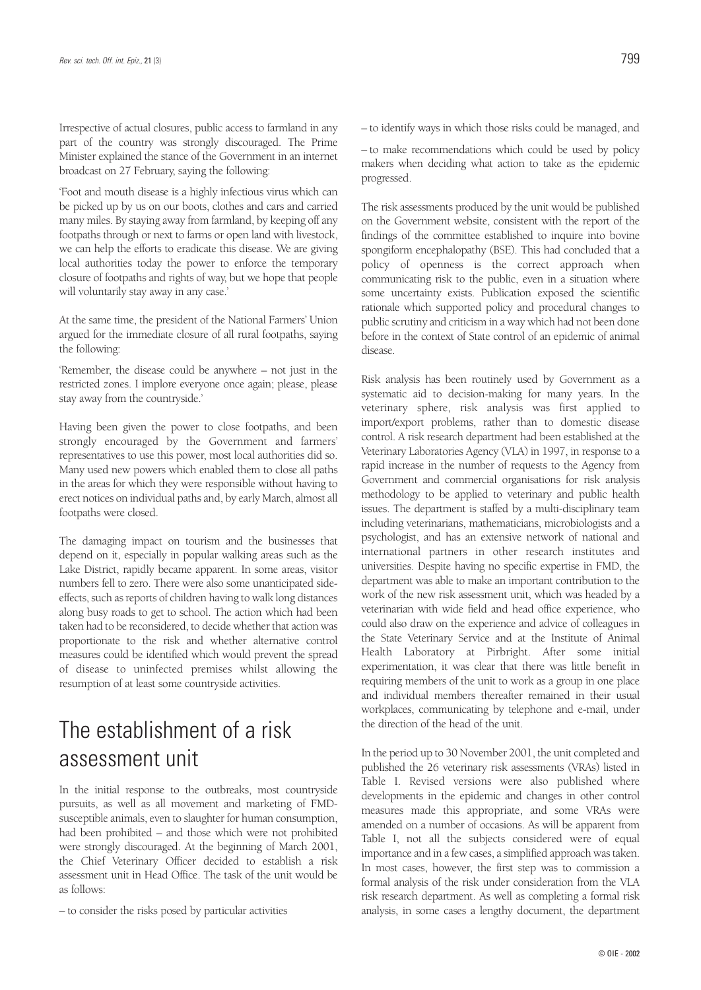Irrespective of actual closures, public access to farmland in any part of the country was strongly discouraged. The Prime Minister explained the stance of the Government in an internet broadcast on 27 February, saying the following:

'Foot and mouth disease is a highly infectious virus which can be picked up by us on our boots, clothes and cars and carried many miles. By staying away from farmland, by keeping off any footpaths through or next to farms or open land with livestock, we can help the efforts to eradicate this disease. We are giving local authorities today the power to enforce the temporary closure of footpaths and rights of way, but we hope that people will voluntarily stay away in any case.'

At the same time, the president of the National Farmers' Union argued for the immediate closure of all rural footpaths, saying the following:

'Remember, the disease could be anywhere – not just in the restricted zones. I implore everyone once again; please, please stay away from the countryside.'

Having been given the power to close footpaths, and been strongly encouraged by the Government and farmers' representatives to use this power, most local authorities did so. Many used new powers which enabled them to close all paths in the areas for which they were responsible without having to erect notices on individual paths and, by early March, almost all footpaths were closed.

The damaging impact on tourism and the businesses that depend on it, especially in popular walking areas such as the Lake District, rapidly became apparent. In some areas, visitor numbers fell to zero. There were also some unanticipated sideeffects, such as reports of children having to walk long distances along busy roads to get to school. The action which had been taken had to be reconsidered, to decide whether that action was proportionate to the risk and whether alternative control measures could be identified which would prevent the spread of disease to uninfected premises whilst allowing the resumption of at least some countryside activities.

# The establishment of a risk assessment unit

In the initial response to the outbreaks, most countryside pursuits, as well as all movement and marketing of FMDsusceptible animals, even to slaughter for human consumption, had been prohibited – and those which were not prohibited were strongly discouraged. At the beginning of March 2001, the Chief Veterinary Officer decided to establish a risk assessment unit in Head Office. The task of the unit would be as follows:

– to consider the risks posed by particular activities

– to identify ways in which those risks could be managed, and

– to make recommendations which could be used by policy makers when deciding what action to take as the epidemic progressed.

The risk assessments produced by the unit would be published on the Government website, consistent with the report of the findings of the committee established to inquire into bovine spongiform encephalopathy (BSE). This had concluded that a policy of openness is the correct approach when communicating risk to the public, even in a situation where some uncertainty exists. Publication exposed the scientific rationale which supported policy and procedural changes to public scrutiny and criticism in a way which had not been done before in the context of State control of an epidemic of animal disease.

Risk analysis has been routinely used by Government as a systematic aid to decision-making for many years. In the veterinary sphere, risk analysis was first applied to import/export problems, rather than to domestic disease control. A risk research department had been established at the Veterinary Laboratories Agency (VLA) in 1997, in response to a rapid increase in the number of requests to the Agency from Government and commercial organisations for risk analysis methodology to be applied to veterinary and public health issues. The department is staffed by a multi-disciplinary team including veterinarians, mathematicians, microbiologists and a psychologist, and has an extensive network of national and international partners in other research institutes and universities. Despite having no specific expertise in FMD, the department was able to make an important contribution to the work of the new risk assessment unit, which was headed by a veterinarian with wide field and head office experience, who could also draw on the experience and advice of colleagues in the State Veterinary Service and at the Institute of Animal Health Laboratory at Pirbright. After some initial experimentation, it was clear that there was little benefit in requiring members of the unit to work as a group in one place and individual members thereafter remained in their usual workplaces, communicating by telephone and e-mail, under the direction of the head of the unit.

In the period up to 30 November 2001, the unit completed and published the 26 veterinary risk assessments (VRAs) listed in Table I. Revised versions were also published where developments in the epidemic and changes in other control measures made this appropriate, and some VRAs were amended on a number of occasions. As will be apparent from Table I, not all the subjects considered were of equal importance and in a few cases, a simplified approach was taken. In most cases, however, the first step was to commission a formal analysis of the risk under consideration from the VLA risk research department. As well as completing a formal risk analysis, in some cases a lengthy document, the department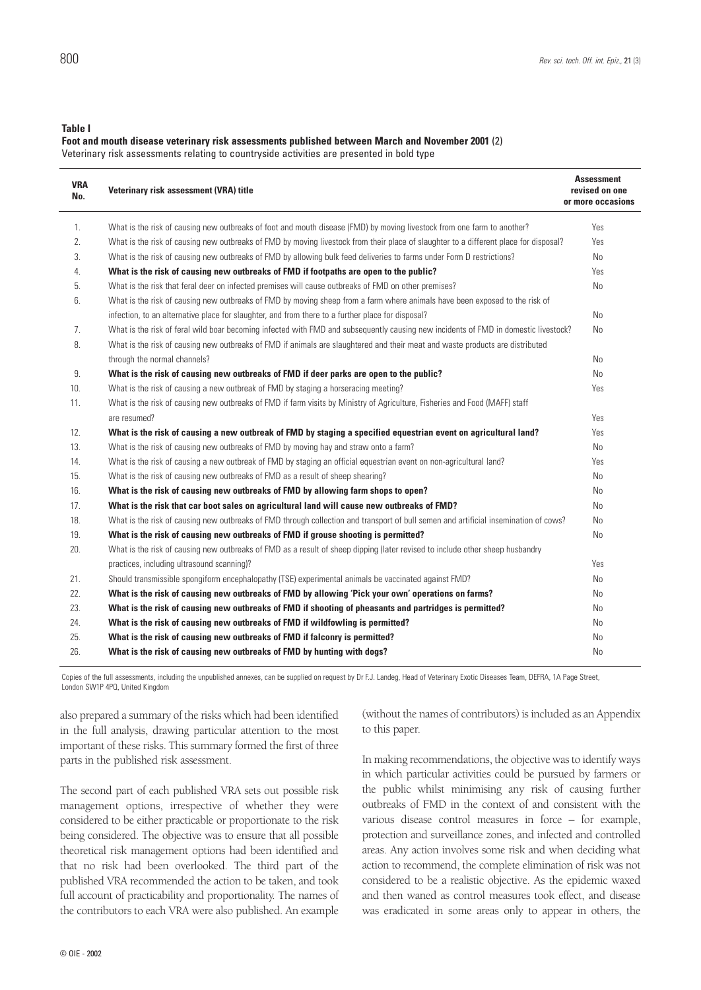**Table I**

#### **Foot and mouth disease veterinary risk assessments published between March and November 2001** (2)

Veterinary risk assessments relating to countryside activities are presented in bold type

| <b>VRA</b><br>No. | Veterinary risk assessment (VRA) title                                                                                                | <b>Assessment</b><br>revised on one<br>or more occasions |
|-------------------|---------------------------------------------------------------------------------------------------------------------------------------|----------------------------------------------------------|
| 1.                | What is the risk of causing new outbreaks of foot and mouth disease (FMD) by moving livestock from one farm to another?               | Yes                                                      |
| 2.                | What is the risk of causing new outbreaks of FMD by moving livestock from their place of slaughter to a different place for disposal? | Yes                                                      |
| 3.                | What is the risk of causing new outbreaks of FMD by allowing bulk feed deliveries to farms under Form D restrictions?                 | N <sub>o</sub>                                           |
| 4.                | What is the risk of causing new outbreaks of FMD if footpaths are open to the public?                                                 | Yes                                                      |
| 5.                | What is the risk that feral deer on infected premises will cause outbreaks of FMD on other premises?                                  | N <sub>o</sub>                                           |
| 6.                | What is the risk of causing new outbreaks of FMD by moving sheep from a farm where animals have been exposed to the risk of           |                                                          |
|                   | infection, to an alternative place for slaughter, and from there to a further place for disposal?                                     | N <sub>o</sub>                                           |
| 7.                | What is the risk of feral wild boar becoming infected with FMD and subsequently causing new incidents of FMD in domestic livestock?   | No                                                       |
| 8.                | What is the risk of causing new outbreaks of FMD if animals are slaughtered and their meat and waste products are distributed         |                                                          |
|                   | through the normal channels?                                                                                                          | N <sub>o</sub>                                           |
| 9.                | What is the risk of causing new outbreaks of FMD if deer parks are open to the public?                                                | No                                                       |
| 10.               | What is the risk of causing a new outbreak of FMD by staging a horseracing meeting?                                                   | Yes                                                      |
| 11.               | What is the risk of causing new outbreaks of FMD if farm visits by Ministry of Agriculture, Fisheries and Food (MAFF) staff           |                                                          |
|                   | are resumed?                                                                                                                          | Yes                                                      |
| 12.               | What is the risk of causing a new outbreak of FMD by staging a specified equestrian event on agricultural land?                       | Yes                                                      |
| 13.               | What is the risk of causing new outbreaks of FMD by moving hay and straw onto a farm?                                                 | No                                                       |
| 14.               | What is the risk of causing a new outbreak of FMD by staging an official equestrian event on non-agricultural land?                   | Yes                                                      |
| 15.               | What is the risk of causing new outbreaks of FMD as a result of sheep shearing?                                                       | No                                                       |
| 16.               | What is the risk of causing new outbreaks of FMD by allowing farm shops to open?                                                      | No                                                       |
| 17.               | What is the risk that car boot sales on agricultural land will cause new outbreaks of FMD?                                            | No                                                       |
| 18.               | What is the risk of causing new outbreaks of FMD through collection and transport of bull semen and artificial insemination of cows?  | No                                                       |
| 19.               | What is the risk of causing new outbreaks of FMD if grouse shooting is permitted?                                                     | No                                                       |
| 20.               | What is the risk of causing new outbreaks of FMD as a result of sheep dipping (later revised to include other sheep husbandry         |                                                          |
|                   | practices, including ultrasound scanning)?                                                                                            | Yes                                                      |
| 21.               | Should transmissible spongiform encephalopathy (TSE) experimental animals be vaccinated against FMD?                                  | No                                                       |
| 22.               | What is the risk of causing new outbreaks of FMD by allowing 'Pick your own' operations on farms?                                     | No                                                       |
| 23.               | What is the risk of causing new outbreaks of FMD if shooting of pheasants and partridges is permitted?                                | No                                                       |
| 24.               | What is the risk of causing new outbreaks of FMD if wildfowling is permitted?                                                         | No                                                       |
| 25.               | What is the risk of causing new outbreaks of FMD if falconry is permitted?                                                            | No                                                       |
| 26.               | What is the risk of causing new outbreaks of FMD by hunting with dogs?                                                                | No                                                       |

Copies of the full assessments, including the unpublished annexes, can be supplied on request by Dr F.J. Landeg, Head of Veterinary Exotic Diseases Team, DEFRA, 1A Page Street, London SW1P 4PQ, United Kingdom

also prepared a summary of the risks which had been identified in the full analysis, drawing particular attention to the most important of these risks. This summary formed the first of three parts in the published risk assessment.

The second part of each published VRA sets out possible risk management options, irrespective of whether they were considered to be either practicable or proportionate to the risk being considered. The objective was to ensure that all possible theoretical risk management options had been identified and that no risk had been overlooked. The third part of the published VRA recommended the action to be taken, and took full account of practicability and proportionality. The names of the contributors to each VRA were also published. An example

(without the names of contributors) is included as an Appendix to this paper.

In making recommendations, the objective was to identify ways in which particular activities could be pursued by farmers or the public whilst minimising any risk of causing further outbreaks of FMD in the context of and consistent with the various disease control measures in force – for example, protection and surveillance zones, and infected and controlled areas. Any action involves some risk and when deciding what action to recommend, the complete elimination of risk was not considered to be a realistic objective. As the epidemic waxed and then waned as control measures took effect, and disease was eradicated in some areas only to appear in others, the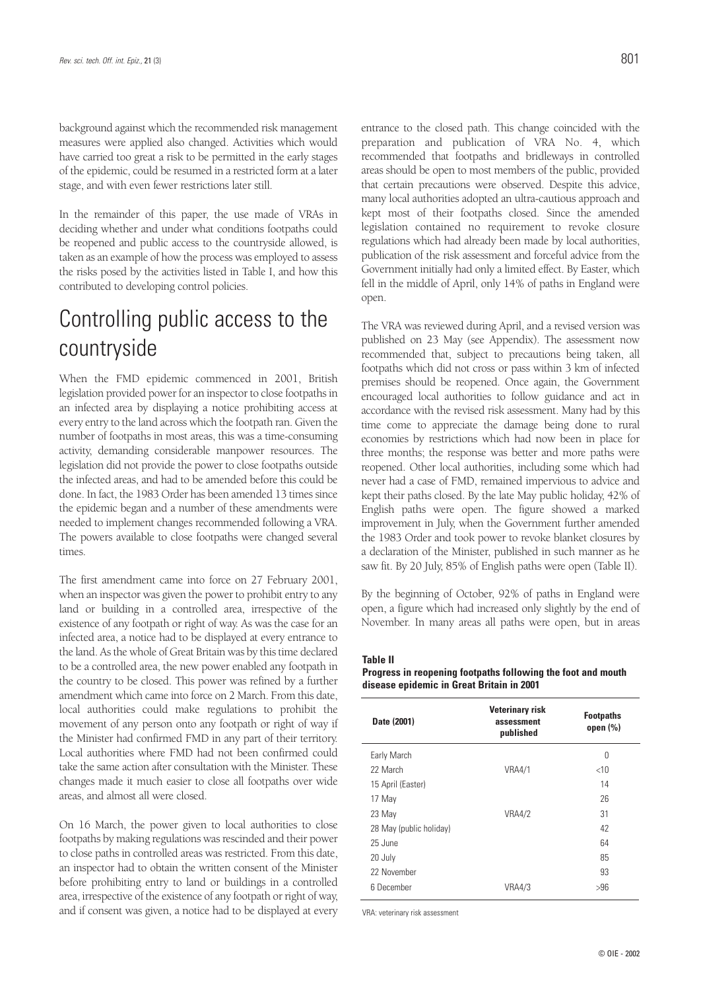background against which the recommended risk management measures were applied also changed. Activities which would have carried too great a risk to be permitted in the early stages of the epidemic, could be resumed in a restricted form at a later stage, and with even fewer restrictions later still.

In the remainder of this paper, the use made of VRAs in deciding whether and under what conditions footpaths could be reopened and public access to the countryside allowed, is taken as an example of how the process was employed to assess the risks posed by the activities listed in Table I, and how this contributed to developing control policies.

# Controlling public access to the countryside

When the FMD epidemic commenced in 2001, British legislation provided power for an inspector to close footpaths in an infected area by displaying a notice prohibiting access at every entry to the land across which the footpath ran. Given the number of footpaths in most areas, this was a time-consuming activity, demanding considerable manpower resources. The legislation did not provide the power to close footpaths outside the infected areas, and had to be amended before this could be done. In fact, the 1983 Order has been amended 13 times since the epidemic began and a number of these amendments were needed to implement changes recommended following a VRA. The powers available to close footpaths were changed several times.

The first amendment came into force on 27 February 2001, when an inspector was given the power to prohibit entry to any land or building in a controlled area, irrespective of the existence of any footpath or right of way. As was the case for an infected area, a notice had to be displayed at every entrance to the land. As the whole of Great Britain was by this time declared to be a controlled area, the new power enabled any footpath in the country to be closed. This power was refined by a further amendment which came into force on 2 March. From this date, local authorities could make regulations to prohibit the movement of any person onto any footpath or right of way if the Minister had confirmed FMD in any part of their territory. Local authorities where FMD had not been confirmed could take the same action after consultation with the Minister. These changes made it much easier to close all footpaths over wide areas, and almost all were closed.

On 16 March, the power given to local authorities to close footpaths by making regulations was rescinded and their power to close paths in controlled areas was restricted. From this date, an inspector had to obtain the written consent of the Minister before prohibiting entry to land or buildings in a controlled area, irrespective of the existence of any footpath or right of way, and if consent was given, a notice had to be displayed at every entrance to the closed path. This change coincided with the preparation and publication of VRA No. 4, which recommended that footpaths and bridleways in controlled areas should be open to most members of the public, provided that certain precautions were observed. Despite this advice, many local authorities adopted an ultra-cautious approach and kept most of their footpaths closed. Since the amended legislation contained no requirement to revoke closure regulations which had already been made by local authorities, publication of the risk assessment and forceful advice from the Government initially had only a limited effect. By Easter, which fell in the middle of April, only 14% of paths in England were open.

The VRA was reviewed during April, and a revised version was published on 23 May (see Appendix). The assessment now recommended that, subject to precautions being taken, all footpaths which did not cross or pass within 3 km of infected premises should be reopened. Once again, the Government encouraged local authorities to follow guidance and act in accordance with the revised risk assessment. Many had by this time come to appreciate the damage being done to rural economies by restrictions which had now been in place for three months; the response was better and more paths were reopened. Other local authorities, including some which had never had a case of FMD, remained impervious to advice and kept their paths closed. By the late May public holiday, 42% of English paths were open. The figure showed a marked improvement in July, when the Government further amended the 1983 Order and took power to revoke blanket closures by a declaration of the Minister, published in such manner as he saw fit. By 20 July, 85% of English paths were open (Table II).

By the beginning of October, 92% of paths in England were open, a figure which had increased only slightly by the end of November. In many areas all paths were open, but in areas

**Table II**

**Progress in reopening footpaths following the foot and mouth disease epidemic in Great Britain in 2001**

| Date (2001)             | <b>Veterinary risk</b><br>assessment<br>published | <b>Footpaths</b><br>open $(\% )$ |
|-------------------------|---------------------------------------------------|----------------------------------|
| Early March             |                                                   | 0                                |
| 22 March                | <b>VRA4/1</b>                                     | $<$ 10                           |
| 15 April (Easter)       |                                                   | 14                               |
| 17 May                  |                                                   | 26                               |
| 23 May                  | <b>VRA4/2</b>                                     | 31                               |
| 28 May (public holiday) |                                                   | 42                               |
| 25 June                 |                                                   | 64                               |
| 20 July                 |                                                   | 85                               |
| 22 November             |                                                   | 93                               |
| 6 December              | <b>VRA4/3</b>                                     | >96                              |

VRA: veterinary risk assessment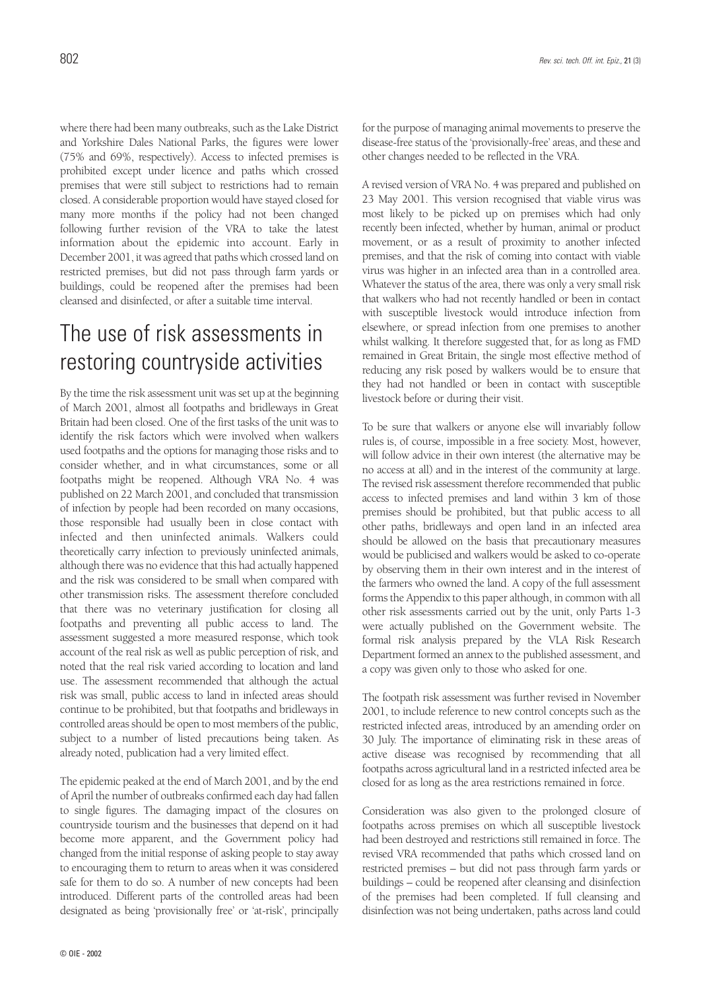where there had been many outbreaks, such as the Lake District and Yorkshire Dales National Parks, the figures were lower (75% and 69%, respectively). Access to infected premises is prohibited except under licence and paths which crossed premises that were still subject to restrictions had to remain closed. A considerable proportion would have stayed closed for many more months if the policy had not been changed following further revision of the VRA to take the latest information about the epidemic into account. Early in December 2001, it was agreed that paths which crossed land on restricted premises, but did not pass through farm yards or buildings, could be reopened after the premises had been cleansed and disinfected, or after a suitable time interval.

# The use of risk assessments in restoring countryside activities

By the time the risk assessment unit was set up at the beginning of March 2001, almost all footpaths and bridleways in Great Britain had been closed. One of the first tasks of the unit was to identify the risk factors which were involved when walkers used footpaths and the options for managing those risks and to consider whether, and in what circumstances, some or all footpaths might be reopened. Although VRA No. 4 was published on 22 March 2001, and concluded that transmission of infection by people had been recorded on many occasions, those responsible had usually been in close contact with infected and then uninfected animals. Walkers could theoretically carry infection to previously uninfected animals, although there was no evidence that this had actually happened and the risk was considered to be small when compared with other transmission risks. The assessment therefore concluded that there was no veterinary justification for closing all footpaths and preventing all public access to land. The assessment suggested a more measured response, which took account of the real risk as well as public perception of risk, and noted that the real risk varied according to location and land use. The assessment recommended that although the actual risk was small, public access to land in infected areas should continue to be prohibited, but that footpaths and bridleways in controlled areas should be open to most members of the public, subject to a number of listed precautions being taken. As already noted, publication had a very limited effect.

The epidemic peaked at the end of March 2001, and by the end of April the number of outbreaks confirmed each day had fallen to single figures. The damaging impact of the closures on countryside tourism and the businesses that depend on it had become more apparent, and the Government policy had changed from the initial response of asking people to stay away to encouraging them to return to areas when it was considered safe for them to do so. A number of new concepts had been introduced. Different parts of the controlled areas had been designated as being 'provisionally free' or 'at-risk', principally for the purpose of managing animal movements to preserve the disease-free status of the 'provisionally-free' areas, and these and other changes needed to be reflected in the VRA.

A revised version of VRA No. 4 was prepared and published on 23 May 2001. This version recognised that viable virus was most likely to be picked up on premises which had only recently been infected, whether by human, animal or product movement, or as a result of proximity to another infected premises, and that the risk of coming into contact with viable virus was higher in an infected area than in a controlled area. Whatever the status of the area, there was only a very small risk that walkers who had not recently handled or been in contact with susceptible livestock would introduce infection from elsewhere, or spread infection from one premises to another whilst walking. It therefore suggested that, for as long as FMD remained in Great Britain, the single most effective method of reducing any risk posed by walkers would be to ensure that they had not handled or been in contact with susceptible livestock before or during their visit.

To be sure that walkers or anyone else will invariably follow rules is, of course, impossible in a free society. Most, however, will follow advice in their own interest (the alternative may be no access at all) and in the interest of the community at large. The revised risk assessment therefore recommended that public access to infected premises and land within 3 km of those premises should be prohibited, but that public access to all other paths, bridleways and open land in an infected area should be allowed on the basis that precautionary measures would be publicised and walkers would be asked to co-operate by observing them in their own interest and in the interest of the farmers who owned the land. A copy of the full assessment forms the Appendix to this paper although, in common with all other risk assessments carried out by the unit, only Parts 1-3 were actually published on the Government website. The formal risk analysis prepared by the VLA Risk Research Department formed an annex to the published assessment, and a copy was given only to those who asked for one.

The footpath risk assessment was further revised in November 2001, to include reference to new control concepts such as the restricted infected areas, introduced by an amending order on 30 July. The importance of eliminating risk in these areas of active disease was recognised by recommending that all footpaths across agricultural land in a restricted infected area be closed for as long as the area restrictions remained in force.

Consideration was also given to the prolonged closure of footpaths across premises on which all susceptible livestock had been destroyed and restrictions still remained in force. The revised VRA recommended that paths which crossed land on restricted premises – but did not pass through farm yards or buildings – could be reopened after cleansing and disinfection of the premises had been completed. If full cleansing and disinfection was not being undertaken, paths across land could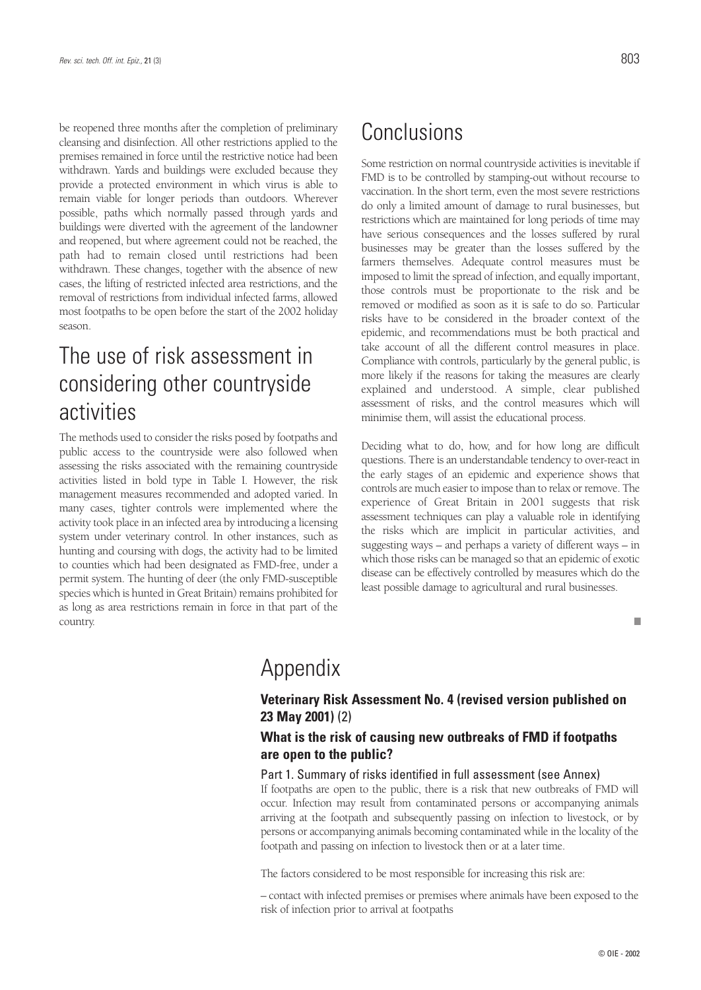be reopened three months after the completion of preliminary cleansing and disinfection. All other restrictions applied to the premises remained in force until the restrictive notice had been withdrawn. Yards and buildings were excluded because they provide a protected environment in which virus is able to remain viable for longer periods than outdoors. Wherever possible, paths which normally passed through yards and buildings were diverted with the agreement of the landowner and reopened, but where agreement could not be reached, the path had to remain closed until restrictions had been withdrawn. These changes, together with the absence of new cases, the lifting of restricted infected area restrictions, and the removal of restrictions from individual infected farms, allowed most footpaths to be open before the start of the 2002 holiday season.

# The use of risk assessment in considering other countryside activities

The methods used to consider the risks posed by footpaths and public access to the countryside were also followed when assessing the risks associated with the remaining countryside activities listed in bold type in Table I. However, the risk management measures recommended and adopted varied. In many cases, tighter controls were implemented where the activity took place in an infected area by introducing a licensing system under veterinary control. In other instances, such as hunting and coursing with dogs, the activity had to be limited to counties which had been designated as FMD-free, under a permit system. The hunting of deer (the only FMD-susceptible species which is hunted in Great Britain) remains prohibited for as long as area restrictions remain in force in that part of the country.

## Conclusions

Some restriction on normal countryside activities is inevitable if FMD is to be controlled by stamping-out without recourse to vaccination. In the short term, even the most severe restrictions do only a limited amount of damage to rural businesses, but restrictions which are maintained for long periods of time may have serious consequences and the losses suffered by rural businesses may be greater than the losses suffered by the farmers themselves. Adequate control measures must be imposed to limit the spread of infection, and equally important, those controls must be proportionate to the risk and be removed or modified as soon as it is safe to do so. Particular risks have to be considered in the broader context of the epidemic, and recommendations must be both practical and take account of all the different control measures in place. Compliance with controls, particularly by the general public, is more likely if the reasons for taking the measures are clearly explained and understood. A simple, clear published assessment of risks, and the control measures which will minimise them, will assist the educational process.

Deciding what to do, how, and for how long are difficult questions. There is an understandable tendency to over-react in the early stages of an epidemic and experience shows that controls are much easier to impose than to relax or remove. The experience of Great Britain in 2001 suggests that risk assessment techniques can play a valuable role in identifying the risks which are implicit in particular activities, and suggesting ways – and perhaps a variety of different ways – in which those risks can be managed so that an epidemic of exotic disease can be effectively controlled by measures which do the least possible damage to agricultural and rural businesses.

#### ■

# Appendix

## **Veterinary Risk Assessment No. 4 (revised version published on 23 May 2001)** (2)

## **What is the risk of causing new outbreaks of FMD if footpaths are open to the public?**

#### Part 1. Summary of risks identified in full assessment (see Annex)

If footpaths are open to the public, there is a risk that new outbreaks of FMD will occur. Infection may result from contaminated persons or accompanying animals arriving at the footpath and subsequently passing on infection to livestock, or by persons or accompanying animals becoming contaminated while in the locality of the footpath and passing on infection to livestock then or at a later time.

The factors considered to be most responsible for increasing this risk are:

– contact with infected premises or premises where animals have been exposed to the risk of infection prior to arrival at footpaths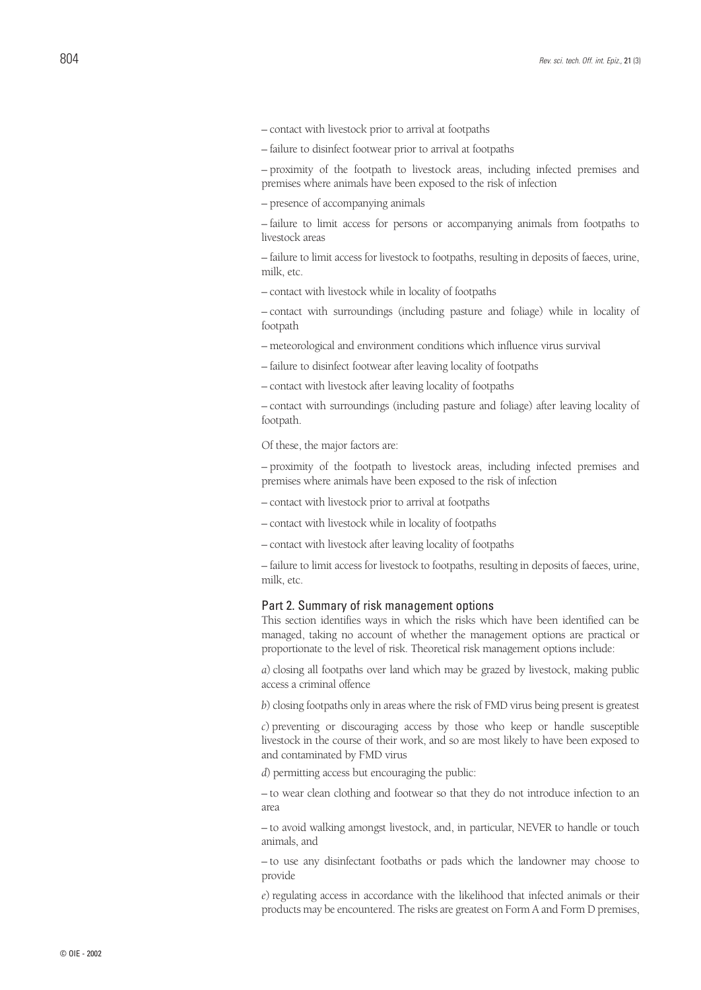- contact with livestock prior to arrival at footpaths
- failure to disinfect footwear prior to arrival at footpaths

– proximity of the footpath to livestock areas, including infected premises and premises where animals have been exposed to the risk of infection

– presence of accompanying animals

– failure to limit access for persons or accompanying animals from footpaths to livestock areas

– failure to limit access for livestock to footpaths, resulting in deposits of faeces, urine, milk, etc.

– contact with livestock while in locality of footpaths

– contact with surroundings (including pasture and foliage) while in locality of footpath

- meteorological and environment conditions which influence virus survival
- failure to disinfect footwear after leaving locality of footpaths
- contact with livestock after leaving locality of footpaths

– contact with surroundings (including pasture and foliage) after leaving locality of footpath.

Of these, the major factors are:

– proximity of the footpath to livestock areas, including infected premises and premises where animals have been exposed to the risk of infection

- contact with livestock prior to arrival at footpaths
- contact with livestock while in locality of footpaths
- contact with livestock after leaving locality of footpaths

– failure to limit access for livestock to footpaths, resulting in deposits of faeces, urine, milk, etc.

#### Part 2. Summary of risk management options

This section identifies ways in which the risks which have been identified can be managed, taking no account of whether the management options are practical or proportionate to the level of risk. Theoretical risk management options include:

*a*) closing all footpaths over land which may be grazed by livestock, making public access a criminal offence

*b*) closing footpaths only in areas where the risk of FMD virus being present is greatest

*c*) preventing or discouraging access by those who keep or handle susceptible livestock in the course of their work, and so are most likely to have been exposed to and contaminated by FMD virus

*d*) permitting access but encouraging the public:

– to wear clean clothing and footwear so that they do not introduce infection to an area

– to avoid walking amongst livestock, and, in particular, NEVER to handle or touch animals, and

– to use any disinfectant footbaths or pads which the landowner may choose to provide

*e*) regulating access in accordance with the likelihood that infected animals or their products may be encountered. The risks are greatest on Form A and Form D premises,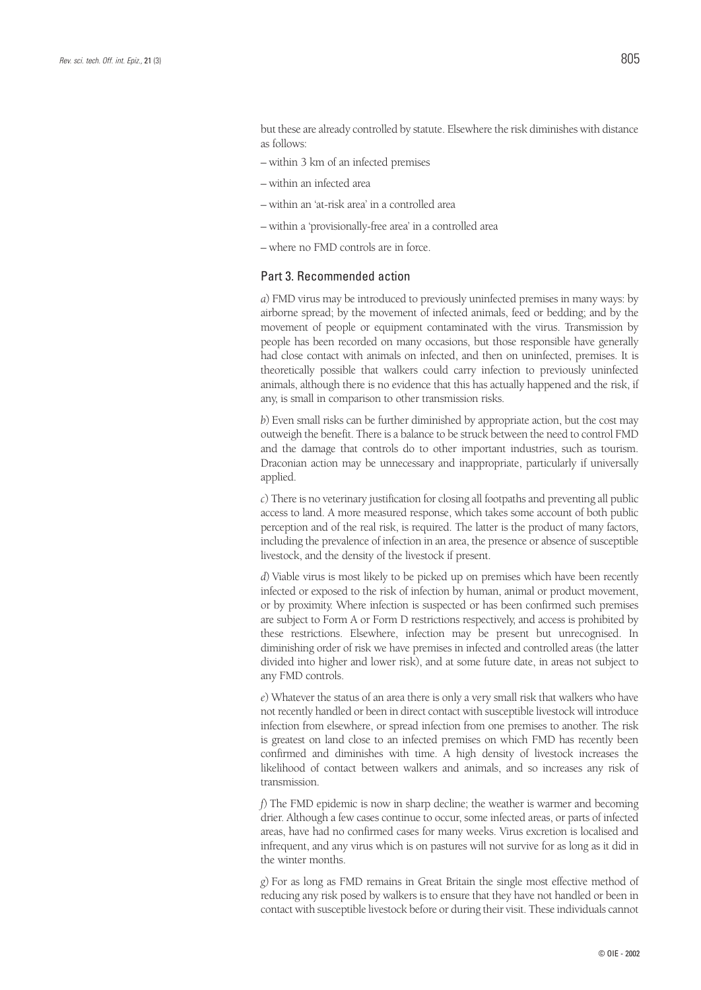but these are already controlled by statute. Elsewhere the risk diminishes with distance as follows:

- within 3 km of an infected premises
- within an infected area
- within an 'at-risk area' in a controlled area
- within a 'provisionally-free area' in a controlled area
- where no FMD controls are in force.

## Part 3. Recommended action

*a*) FMD virus may be introduced to previously uninfected premises in many ways: by airborne spread; by the movement of infected animals, feed or bedding; and by the movement of people or equipment contaminated with the virus. Transmission by people has been recorded on many occasions, but those responsible have generally had close contact with animals on infected, and then on uninfected, premises. It is theoretically possible that walkers could carry infection to previously uninfected animals, although there is no evidence that this has actually happened and the risk, if any, is small in comparison to other transmission risks.

*b*) Even small risks can be further diminished by appropriate action, but the cost may outweigh the benefit. There is a balance to be struck between the need to control FMD and the damage that controls do to other important industries, such as tourism. Draconian action may be unnecessary and inappropriate, particularly if universally applied.

*c*) There is no veterinary justification for closing all footpaths and preventing all public access to land. A more measured response, which takes some account of both public perception and of the real risk, is required. The latter is the product of many factors, including the prevalence of infection in an area, the presence or absence of susceptible livestock, and the density of the livestock if present.

*d*) Viable virus is most likely to be picked up on premises which have been recently infected or exposed to the risk of infection by human, animal or product movement, or by proximity. Where infection is suspected or has been confirmed such premises are subject to Form A or Form D restrictions respectively, and access is prohibited by these restrictions. Elsewhere, infection may be present but unrecognised. In diminishing order of risk we have premises in infected and controlled areas (the latter divided into higher and lower risk), and at some future date, in areas not subject to any FMD controls.

*e*) Whatever the status of an area there is only a very small risk that walkers who have not recently handled or been in direct contact with susceptible livestock will introduce infection from elsewhere, or spread infection from one premises to another. The risk is greatest on land close to an infected premises on which FMD has recently been confirmed and diminishes with time. A high density of livestock increases the likelihood of contact between walkers and animals, and so increases any risk of transmission.

*f*) The FMD epidemic is now in sharp decline; the weather is warmer and becoming drier. Although a few cases continue to occur, some infected areas, or parts of infected areas, have had no confirmed cases for many weeks. Virus excretion is localised and infrequent, and any virus which is on pastures will not survive for as long as it did in the winter months.

*g*) For as long as FMD remains in Great Britain the single most effective method of reducing any risk posed by walkers is to ensure that they have not handled or been in contact with susceptible livestock before or during their visit. These individuals cannot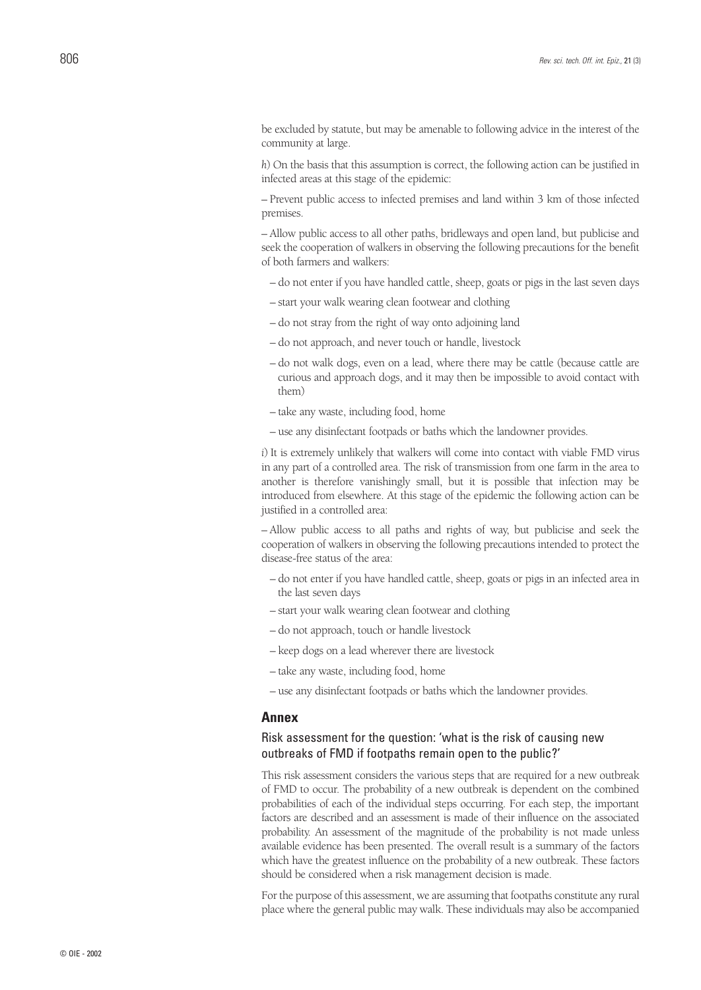be excluded by statute, but may be amenable to following advice in the interest of the community at large.

*h*) On the basis that this assumption is correct, the following action can be justified in infected areas at this stage of the epidemic:

– Prevent public access to infected premises and land within 3 km of those infected premises.

– Allow public access to all other paths, bridleways and open land, but publicise and seek the cooperation of walkers in observing the following precautions for the benefit of both farmers and walkers:

- do not enter if you have handled cattle, sheep, goats or pigs in the last seven days
- start your walk wearing clean footwear and clothing
- do not stray from the right of way onto adjoining land
- do not approach, and never touch or handle, livestock
- do not walk dogs, even on a lead, where there may be cattle (because cattle are curious and approach dogs, and it may then be impossible to avoid contact with them)
- take any waste, including food, home
- use any disinfectant footpads or baths which the landowner provides.

*i*) It is extremely unlikely that walkers will come into contact with viable FMD virus in any part of a controlled area. The risk of transmission from one farm in the area to another is therefore vanishingly small, but it is possible that infection may be introduced from elsewhere. At this stage of the epidemic the following action can be justified in a controlled area:

– Allow public access to all paths and rights of way, but publicise and seek the cooperation of walkers in observing the following precautions intended to protect the disease-free status of the area:

- do not enter if you have handled cattle, sheep, goats or pigs in an infected area in the last seven days
- start your walk wearing clean footwear and clothing
- do not approach, touch or handle livestock
- keep dogs on a lead wherever there are livestock
- take any waste, including food, home
- use any disinfectant footpads or baths which the landowner provides.

### **Annex**

## Risk assessment for the question: 'what is the risk of causing new outbreaks of FMD if footpaths remain open to the public?'

This risk assessment considers the various steps that are required for a new outbreak of FMD to occur. The probability of a new outbreak is dependent on the combined probabilities of each of the individual steps occurring. For each step, the important factors are described and an assessment is made of their influence on the associated probability. An assessment of the magnitude of the probability is not made unless available evidence has been presented. The overall result is a summary of the factors which have the greatest influence on the probability of a new outbreak. These factors should be considered when a risk management decision is made.

For the purpose of this assessment, we are assuming that footpaths constitute any rural place where the general public may walk. These individuals may also be accompanied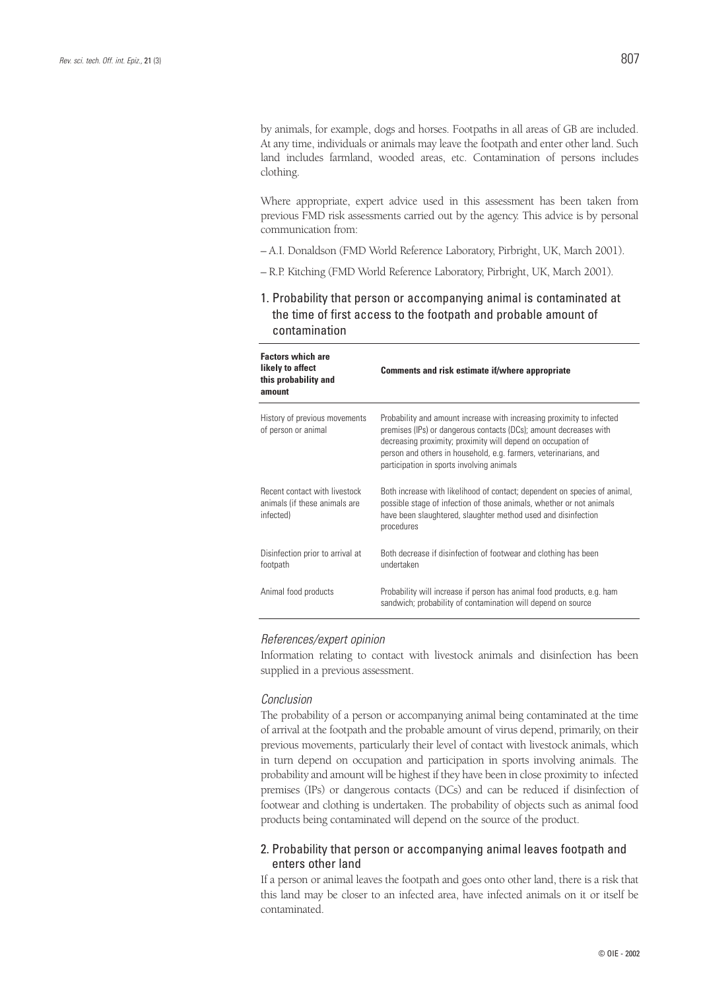by animals, for example, dogs and horses. Footpaths in all areas of GB are included. At any time, individuals or animals may leave the footpath and enter other land. Such land includes farmland, wooded areas, etc. Contamination of persons includes clothing.

Where appropriate, expert advice used in this assessment has been taken from previous FMD risk assessments carried out by the agency. This advice is by personal communication from:

- A.I. Donaldson (FMD World Reference Laboratory, Pirbright, UK, March 2001).
- R.P. Kitching (FMD World Reference Laboratory, Pirbright, UK, March 2001).
- 1. Probability that person or accompanying animal is contaminated at the time of first access to the footpath and probable amount of contamination

| <b>Factors which are</b><br>likely to affect<br>this probability and<br>amount     | Comments and risk estimate if/where appropriate                                                                                                                                                                                                                                                                             |
|------------------------------------------------------------------------------------|-----------------------------------------------------------------------------------------------------------------------------------------------------------------------------------------------------------------------------------------------------------------------------------------------------------------------------|
| History of previous movements<br>of person or animal                               | Probability and amount increase with increasing proximity to infected<br>premises (IPs) or dangerous contacts (DCs); amount decreases with<br>decreasing proximity; proximity will depend on occupation of<br>person and others in household, e.g. farmers, veterinarians, and<br>participation in sports involving animals |
| <b>Recent contact with livestock</b><br>animals (if these animals are<br>infected) | Both increase with likelihood of contact; dependent on species of animal,<br>possible stage of infection of those animals, whether or not animals<br>have been slaughtered, slaughter method used and disinfection<br>procedures                                                                                            |
| Disinfection prior to arrival at<br>footpath                                       | Both decrease if disinfection of footwear and clothing has been<br>undertaken                                                                                                                                                                                                                                               |
| Animal food products                                                               | Probability will increase if person has animal food products, e.g. ham<br>sandwich; probability of contamination will depend on source                                                                                                                                                                                      |

#### *References/expert opinion*

Information relating to contact with livestock animals and disinfection has been supplied in a previous assessment.

#### *Conclusion*

The probability of a person or accompanying animal being contaminated at the time of arrival at the footpath and the probable amount of virus depend, primarily, on their previous movements, particularly their level of contact with livestock animals, which in turn depend on occupation and participation in sports involving animals. The probability and amount will be highest if they have been in close proximity to infected premises (IPs) or dangerous contacts (DCs) and can be reduced if disinfection of footwear and clothing is undertaken. The probability of objects such as animal food products being contaminated will depend on the source of the product.

## 2. Probability that person or accompanying animal leaves footpath and enters other land

If a person or animal leaves the footpath and goes onto other land, there is a risk that this land may be closer to an infected area, have infected animals on it or itself be contaminated.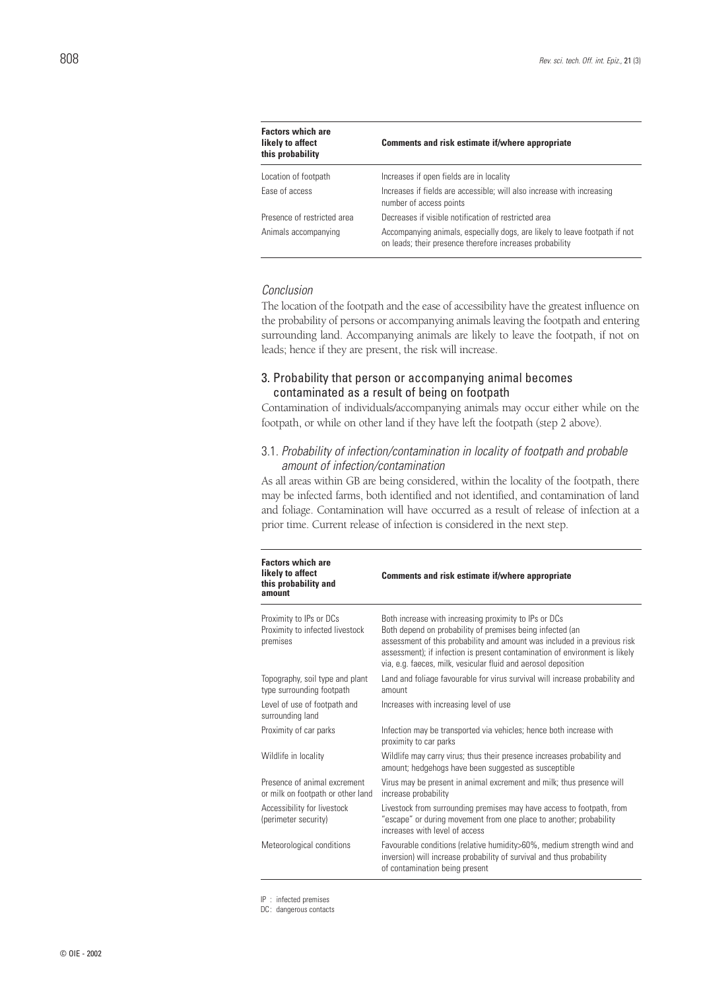| <b>Factors which are</b><br>likely to affect<br>this probability | Comments and risk estimate if/where appropriate                                                                                        |
|------------------------------------------------------------------|----------------------------------------------------------------------------------------------------------------------------------------|
| Location of footpath                                             | Increases if open fields are in locality                                                                                               |
| Ease of access                                                   | Increases if fields are accessible; will also increase with increasing<br>number of access points                                      |
| Presence of restricted area                                      | Decreases if visible notification of restricted area                                                                                   |
| Animals accompanying                                             | Accompanying animals, especially dogs, are likely to leave footpath if not<br>on leads; their presence therefore increases probability |

#### *Conclusion*

The location of the footpath and the ease of accessibility have the greatest influence on the probability of persons or accompanying animals leaving the footpath and entering surrounding land. Accompanying animals are likely to leave the footpath, if not on leads; hence if they are present, the risk will increase.

## 3. Probability that person or accompanying animal becomes contaminated as a result of being on footpath

Contamination of individuals/accompanying animals may occur either while on the footpath, or while on other land if they have left the footpath (step 2 above).

## 3.1. *Probability of infection/contamination in locality of footpath and probable amount of infection/contamination*

As all areas within GB are being considered, within the locality of the footpath, there may be infected farms, both identified and not identified, and contamination of land and foliage. Contamination will have occurred as a result of release of infection at a prior time. Current release of infection is considered in the next step.

| <b>Factors which are</b><br>likely to affect<br>this probability and<br>amount | Comments and risk estimate if/where appropriate                                                                                                                                                                                                                                                                                                  |
|--------------------------------------------------------------------------------|--------------------------------------------------------------------------------------------------------------------------------------------------------------------------------------------------------------------------------------------------------------------------------------------------------------------------------------------------|
| Proximity to IPs or DCs<br>Proximity to infected livestock<br>premises         | Both increase with increasing proximity to IPs or DCs<br>Both depend on probability of premises being infected (an<br>assessment of this probability and amount was included in a previous risk<br>assessment); if infection is present contamination of environment is likely<br>via, e.g. faeces, milk, vesicular fluid and aerosol deposition |
| Topography, soil type and plant<br>type surrounding footpath                   | Land and foliage favourable for virus survival will increase probability and<br>amount                                                                                                                                                                                                                                                           |
| Level of use of footpath and<br>surrounding land                               | Increases with increasing level of use                                                                                                                                                                                                                                                                                                           |
| Proximity of car parks                                                         | Infection may be transported via vehicles; hence both increase with<br>proximity to car parks                                                                                                                                                                                                                                                    |
| Wildlife in locality                                                           | Wildlife may carry virus; thus their presence increases probability and<br>amount; hedgehogs have been suggested as susceptible                                                                                                                                                                                                                  |
| Presence of animal excrement<br>or milk on footpath or other land              | Virus may be present in animal excrement and milk; thus presence will<br>increase probability                                                                                                                                                                                                                                                    |
| Accessibility for livestock<br>(perimeter security)                            | Livestock from surrounding premises may have access to footpath, from<br>"escape" or during movement from one place to another; probability<br>increases with level of access                                                                                                                                                                    |
| Meteorological conditions                                                      | Favourable conditions (relative humidity>60%, medium strength wind and<br>inversion) will increase probability of survival and thus probability<br>of contamination being present                                                                                                                                                                |

IP : infected premises

DC: dangerous contacts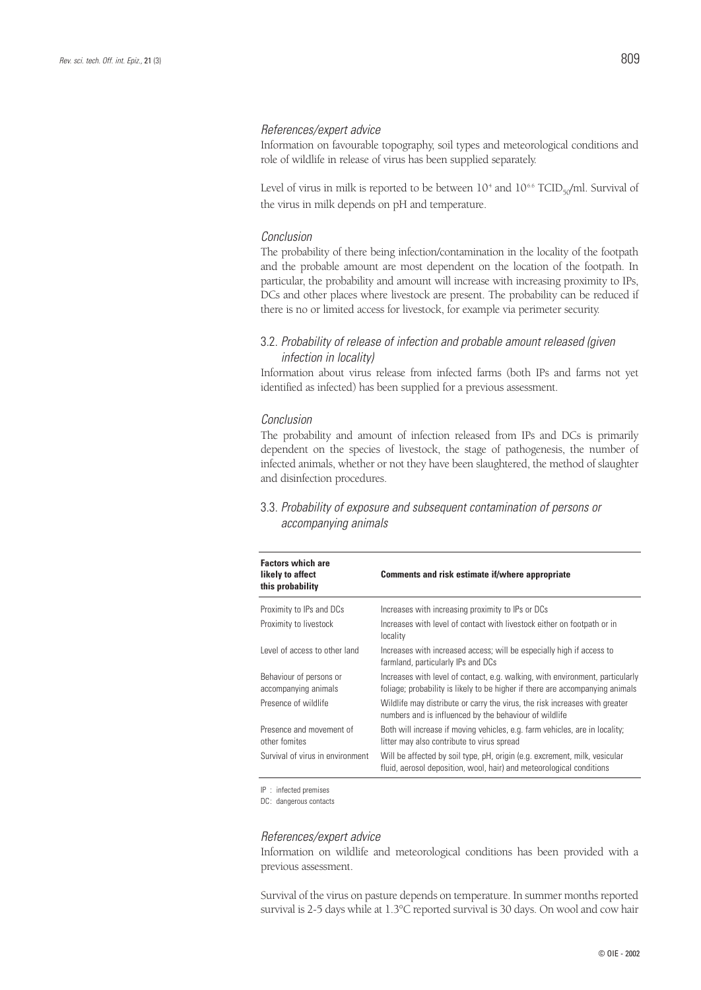#### *References/expert advice*

Information on favourable topography, soil types and meteorological conditions and role of wildlife in release of virus has been supplied separately.

Level of virus in milk is reported to be between  $10^4$  and  $10^{6.6}$  TCID<sub>50</sub>/ml. Survival of the virus in milk depends on pH and temperature.

#### *Conclusion*

The probability of there being infection/contamination in the locality of the footpath and the probable amount are most dependent on the location of the footpath. In particular, the probability and amount will increase with increasing proximity to IPs, DCs and other places where livestock are present. The probability can be reduced if there is no or limited access for livestock, for example via perimeter security.

## 3.2. *Probability of release of infection and probable amount released (given infection in locality)*

Information about virus release from infected farms (both IPs and farms not yet identified as infected) has been supplied for a previous assessment.

#### *Conclusion*

The probability and amount of infection released from IPs and DCs is primarily dependent on the species of livestock, the stage of pathogenesis, the number of infected animals, whether or not they have been slaughtered, the method of slaughter and disinfection procedures.

## 3.3. *Probability of exposure and subsequent contamination of persons or accompanying animals*

| <b>Factors which are</b><br>likely to affect<br>this probability | Comments and risk estimate if/where appropriate                                                                                                                |
|------------------------------------------------------------------|----------------------------------------------------------------------------------------------------------------------------------------------------------------|
| Proximity to IPs and DCs                                         | Increases with increasing proximity to IPs or DCs                                                                                                              |
| Proximity to livestock                                           | Increases with level of contact with livestock either on footpath or in<br>locality                                                                            |
| Level of access to other land                                    | Increases with increased access; will be especially high if access to<br>farmland, particularly IPs and DCs                                                    |
| Behaviour of persons or<br>accompanying animals                  | Increases with level of contact, e.g. walking, with environment, particularly<br>foliage; probability is likely to be higher if there are accompanying animals |
| Presence of wildlife                                             | Wildlife may distribute or carry the virus, the risk increases with greater<br>numbers and is influenced by the behaviour of wildlife                          |
| Presence and movement of<br>other fomites                        | Both will increase if moving vehicles, e.g. farm vehicles, are in locality;<br>litter may also contribute to virus spread                                      |
| Survival of virus in environment                                 | Will be affected by soil type, pH, origin (e.g. excrement, milk, vesicular<br>fluid, aerosol deposition, wool, hair) and meteorological conditions             |

IP : infected premises

DC: dangerous contacts

#### *References/expert advice*

Information on wildlife and meteorological conditions has been provided with a previous assessment.

Survival of the virus on pasture depends on temperature. In summer months reported survival is 2-5 days while at 1.3°C reported survival is 30 days. On wool and cow hair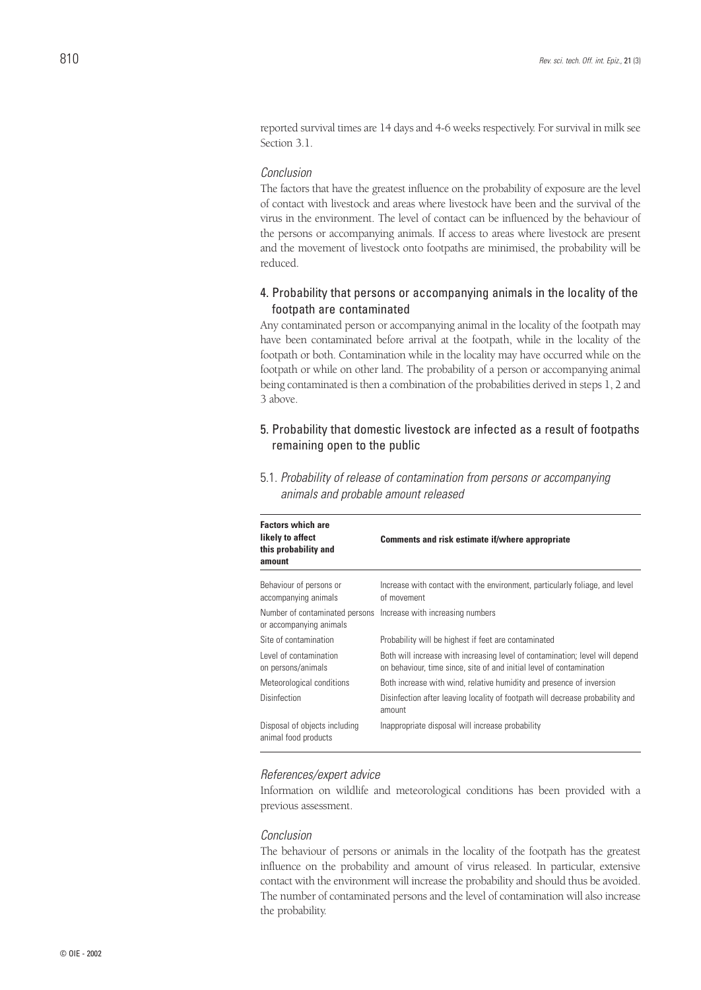reported survival times are 14 days and 4-6 weeks respectively. For survival in milk see Section 3.1.

## *Conclusion*

The factors that have the greatest influence on the probability of exposure are the level of contact with livestock and areas where livestock have been and the survival of the virus in the environment. The level of contact can be influenced by the behaviour of the persons or accompanying animals. If access to areas where livestock are present and the movement of livestock onto footpaths are minimised, the probability will be reduced.

## 4. Probability that persons or accompanying animals in the locality of the footpath are contaminated

Any contaminated person or accompanying animal in the locality of the footpath may have been contaminated before arrival at the footpath, while in the locality of the footpath or both. Contamination while in the locality may have occurred while on the footpath or while on other land. The probability of a person or accompanying animal being contaminated is then a combination of the probabilities derived in steps 1, 2 and 3 above.

## 5. Probability that domestic livestock are infected as a result of footpaths remaining open to the public

| <b>Factors which are</b><br>likely to affect<br>this probability and<br>amount | Comments and risk estimate if/where appropriate                                                                                                      |
|--------------------------------------------------------------------------------|------------------------------------------------------------------------------------------------------------------------------------------------------|
| Behaviour of persons or<br>accompanying animals                                | Increase with contact with the environment, particularly foliage, and level<br>of movement                                                           |
| or accompanying animals                                                        | Number of contaminated persons Increase with increasing numbers                                                                                      |
| Site of contamination                                                          | Probability will be highest if feet are contaminated                                                                                                 |
| Level of contamination<br>on persons/animals                                   | Both will increase with increasing level of contamination; level will depend<br>on behaviour, time since, site of and initial level of contamination |
| Meteorological conditions                                                      | Both increase with wind, relative humidity and presence of inversion                                                                                 |
| Disinfection                                                                   | Disinfection after leaving locality of footpath will decrease probability and<br>amount                                                              |
| Disposal of objects including<br>animal food products                          | Inappropriate disposal will increase probability                                                                                                     |

5.1. *Probability of release of contamination from persons or accompanying animals and probable amount released*

#### *References/expert advice*

Information on wildlife and meteorological conditions has been provided with a previous assessment.

#### *Conclusion*

The behaviour of persons or animals in the locality of the footpath has the greatest influence on the probability and amount of virus released. In particular, extensive contact with the environment will increase the probability and should thus be avoided. The number of contaminated persons and the level of contamination will also increase the probability.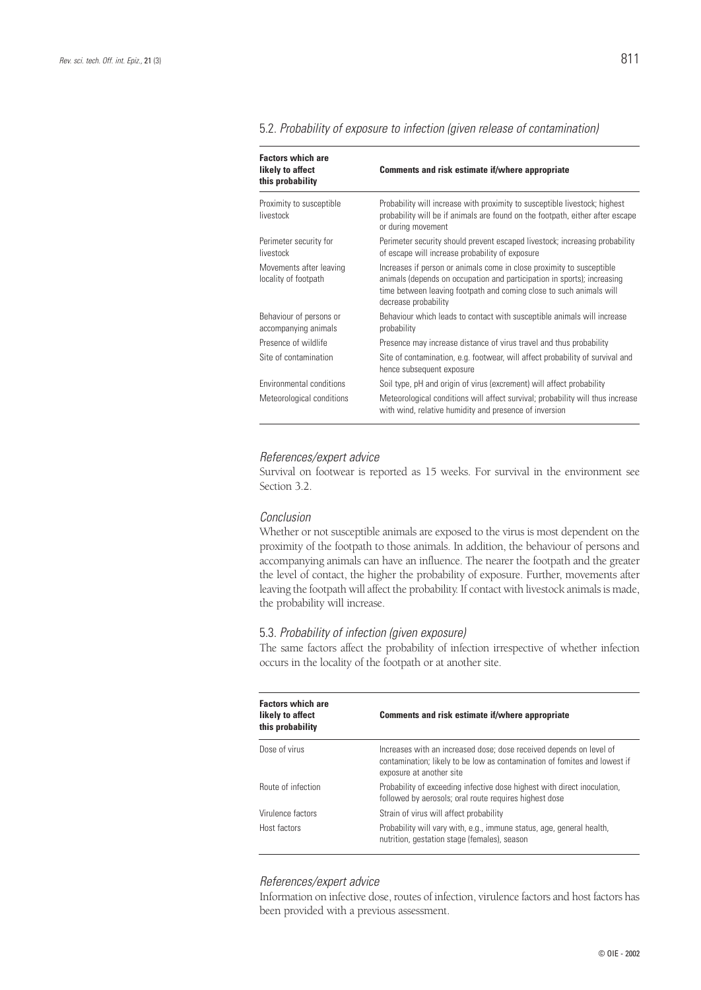| <b>Factors which are</b><br>likely to affect<br>this probability | Comments and risk estimate if/where appropriate                                                                                                                                                                                                 |
|------------------------------------------------------------------|-------------------------------------------------------------------------------------------------------------------------------------------------------------------------------------------------------------------------------------------------|
| Proximity to susceptible<br>livestock                            | Probability will increase with proximity to susceptible livestock; highest<br>probability will be if animals are found on the footpath, either after escape<br>or during movement                                                               |
| Perimeter security for<br>livestock                              | Perimeter security should prevent escaped livestock; increasing probability<br>of escape will increase probability of exposure                                                                                                                  |
| Movements after leaving<br>locality of footpath                  | Increases if person or animals come in close proximity to susceptible<br>animals (depends on occupation and participation in sports); increasing<br>time between leaving footpath and coming close to such animals will<br>decrease probability |
| Behaviour of persons or<br>accompanying animals                  | Behaviour which leads to contact with susceptible animals will increase<br>probability                                                                                                                                                          |
| Presence of wildlife                                             | Presence may increase distance of virus travel and thus probability                                                                                                                                                                             |
| Site of contamination                                            | Site of contamination, e.g. footwear, will affect probability of survival and<br>hence subsequent exposure                                                                                                                                      |
| Environmental conditions                                         | Soil type, pH and origin of virus (excrement) will affect probability                                                                                                                                                                           |
| Meteorological conditions                                        | Meteorological conditions will affect survival; probability will thus increase<br>with wind, relative humidity and presence of inversion                                                                                                        |

#### 5.2. *Probability of exposure to infection (given release of contamination)*

#### *References/expert advice*

Survival on footwear is reported as 15 weeks. For survival in the environment see Section 3.2.

#### *Conclusion*

Whether or not susceptible animals are exposed to the virus is most dependent on the proximity of the footpath to those animals. In addition, the behaviour of persons and accompanying animals can have an influence. The nearer the footpath and the greater the level of contact, the higher the probability of exposure. Further, movements after leaving the footpath will affect the probability. If contact with livestock animals is made, the probability will increase.

#### 5.3. *Probability of infection (given exposure)*

The same factors affect the probability of infection irrespective of whether infection occurs in the locality of the footpath or at another site.

| <b>Factors which are</b><br>likely to affect<br>this probability | Comments and risk estimate if/where appropriate                                                                                                                              |
|------------------------------------------------------------------|------------------------------------------------------------------------------------------------------------------------------------------------------------------------------|
| Dose of virus                                                    | Increases with an increased dose; dose received depends on level of<br>contamination; likely to be low as contamination of fomites and lowest if<br>exposure at another site |
| Route of infection                                               | Probability of exceeding infective dose highest with direct inoculation,<br>followed by aerosols; oral route requires highest dose                                           |
| Virulence factors                                                | Strain of virus will affect probability                                                                                                                                      |
| Host factors                                                     | Probability will vary with, e.g., immune status, age, general health,<br>nutrition, gestation stage (females), season                                                        |

### *References/expert advice*

Information on infective dose, routes of infection, virulence factors and host factors has been provided with a previous assessment.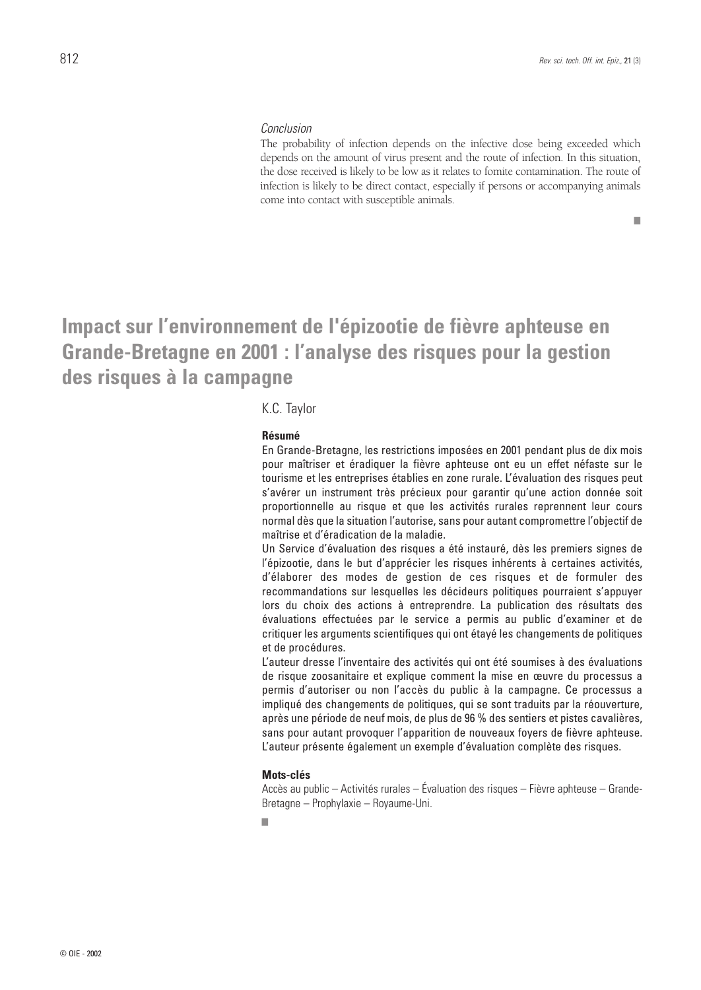#### *Conclusion*

The probability of infection depends on the infective dose being exceeded which depends on the amount of virus present and the route of infection. In this situation, the dose received is likely to be low as it relates to fomite contamination. The route of infection is likely to be direct contact, especially if persons or accompanying animals come into contact with susceptible animals.

■

## **Impact sur l'environnement de l'épizootie de fièvre aphteuse en Grande-Bretagne en 2001 : l'analyse des risques pour la gestion des risques à la campagne**

## K.C. Taylor

#### **Résumé**

En Grande-Bretagne, les restrictions imposées en 2001 pendant plus de dix mois pour maîtriser et éradiquer la fièvre aphteuse ont eu un effet néfaste sur le tourisme et les entreprises établies en zone rurale. L'évaluation des risques peut s'avérer un instrument très précieux pour garantir qu'une action donnée soit proportionnelle au risque et que les activités rurales reprennent leur cours normal dès que la situation l'autorise, sans pour autant compromettre l'objectif de maîtrise et d'éradication de la maladie.

Un Service d'évaluation des risques a été instauré, dès les premiers signes de l'épizootie, dans le but d'apprécier les risques inhérents à certaines activités, d'élaborer des modes de gestion de ces risques et de formuler des recommandations sur lesquelles les décideurs politiques pourraient s'appuyer lors du choix des actions à entreprendre. La publication des résultats des évaluations effectuées par le service a permis au public d'examiner et de critiquer les arguments scientifiques qui ont étayé les changements de politiques et de procédures.

L'auteur dresse l'inventaire des activités qui ont été soumises à des évaluations de risque zoosanitaire et explique comment la mise en œuvre du processus a permis d'autoriser ou non l'accès du public à la campagne. Ce processus a impliqué des changements de politiques, qui se sont traduits par la réouverture, après une période de neuf mois, de plus de 96 % des sentiers et pistes cavalières, sans pour autant provoquer l'apparition de nouveaux foyers de fièvre aphteuse. L'auteur présente également un exemple d'évaluation complète des risques.

#### **Mots-clés**

Accès au public – Activités rurales – Évaluation des risques – Fièvre aphteuse – Grande-Bretagne – Prophylaxie – Royaume-Uni.

■